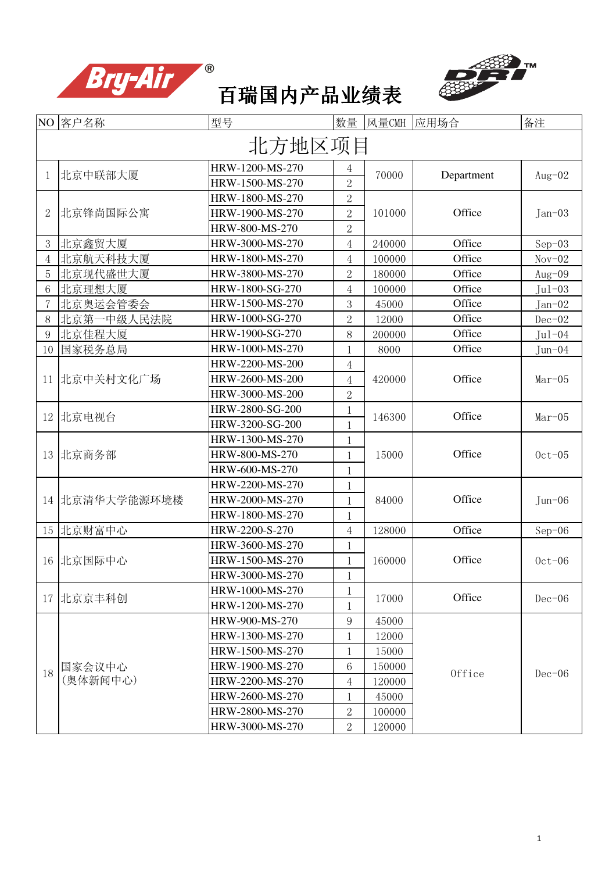





|                | NO 客户名称        | 型号              | 数量             | 风量CMH  | 应用场合       | 备注                                             |
|----------------|----------------|-----------------|----------------|--------|------------|------------------------------------------------|
|                |                | 北方地区项目          |                |        |            |                                                |
| 1              | 北京中联部大厦        | HRW-1200-MS-270 | 4              | 70000  | Department | Aug $-02$                                      |
|                |                | HRW-1500-MS-270 | $\overline{2}$ |        |            |                                                |
|                |                | HRW-1800-MS-270 | $\overline{2}$ |        |            |                                                |
| $\overline{2}$ | 北京锋尚国际公寓       | HRW-1900-MS-270 | $\overline{2}$ | 101000 | Office     | $Jan-03$                                       |
|                |                | HRW-800-MS-270  | $\overline{2}$ |        |            |                                                |
| 3              | 北京鑫贸大厦         | HRW-3000-MS-270 | 4              | 240000 | Office     | $Sep-03$                                       |
| $\overline{4}$ | 北京航天科技大厦       | HRW-1800-MS-270 | $\overline{4}$ | 100000 | Office     | $Nov-02$                                       |
| 5              | 北京现代盛世大厦       | HRW-3800-MS-270 | $\overline{2}$ | 180000 | Office     | Aug $-09$                                      |
| 6              | 北京理想大厦         | HRW-1800-SG-270 | $\overline{4}$ | 100000 | Office     | $Jul-03$                                       |
| 7              | 北京奥运会管委会       | HRW-1500-MS-270 | 3              | 45000  | Office     | $Jan-02$                                       |
| 8              | 北京第一中级人民法院     | HRW-1000-SG-270 | $\overline{2}$ | 12000  | Office     | $Dec-02$                                       |
| 9              | 北京佳程大厦         | HRW-1900-SG-270 | 8              | 200000 | Office     | $Jul-04$                                       |
| 10             | 国家税务总局         | HRW-1000-MS-270 | 1              | 8000   | Office     | $Jun-04$                                       |
|                |                | HRW-2200-MS-200 | 4              |        |            | $Mar-05$<br>$Mar-05$<br>$0ct-05$<br>$Jun - 06$ |
|                | 11 北京中关村文化广场   | HRW-2600-MS-200 | $\overline{4}$ | 420000 | Office     |                                                |
|                |                | HRW-3000-MS-200 | $\overline{2}$ |        |            |                                                |
| 12             | 北京电视台          | HRW-2800-SG-200 | $\mathbf 1$    | 146300 | Office     |                                                |
|                |                | HRW-3200-SG-200 | 1              |        |            |                                                |
|                | 13 北京商务部       | HRW-1300-MS-270 | 1              | 15000  |            |                                                |
|                |                | HRW-800-MS-270  | 1              |        | Office     |                                                |
|                |                | HRW-600-MS-270  | 1              |        |            |                                                |
|                |                | HRW-2200-MS-270 | $\mathbf{1}$   | 84000  |            |                                                |
|                | 14 北京清华大学能源环境楼 | HRW-2000-MS-270 | $\mathbf{1}$   |        | Office     |                                                |
|                |                | HRW-1800-MS-270 | 1              |        |            |                                                |
|                | 15 北京财富中心      | HRW-2200-S-270  | $\overline{4}$ | 128000 | Office     | $Sep-06$                                       |
|                |                | HRW-3600-MS-270 | 1              |        |            |                                                |
|                | 16 北京国际中心      | HRW-1500-MS-270 | 1              | 160000 | Office     | $0ct-06$                                       |
|                |                | HRW-3000-MS-270 | $\mathbf{1}$   |        |            |                                                |
|                | 17 北京京丰科创      | HRW-1000-MS-270 | 1              | 17000  | Office     | $Dec-06$                                       |
|                |                | HRW-1200-MS-270 | 1              |        |            |                                                |
|                |                | HRW-900-MS-270  | 9              | 45000  |            |                                                |
|                |                | HRW-1300-MS-270 | 1              | 12000  |            |                                                |
|                |                | HRW-1500-MS-270 | 1              | 15000  |            |                                                |
| 18             | 国家会议中心         | HRW-1900-MS-270 | 6              | 150000 | Office     |                                                |
|                | (奥体新闻中心)       | HRW-2200-MS-270 | 4              | 120000 |            | $Dec-06$                                       |
|                |                | HRW-2600-MS-270 | 1              | 45000  |            |                                                |
|                |                | HRW-2800-MS-270 | $\overline{2}$ | 100000 |            |                                                |
|                |                | HRW-3000-MS-270 | $\overline{2}$ | 120000 |            |                                                |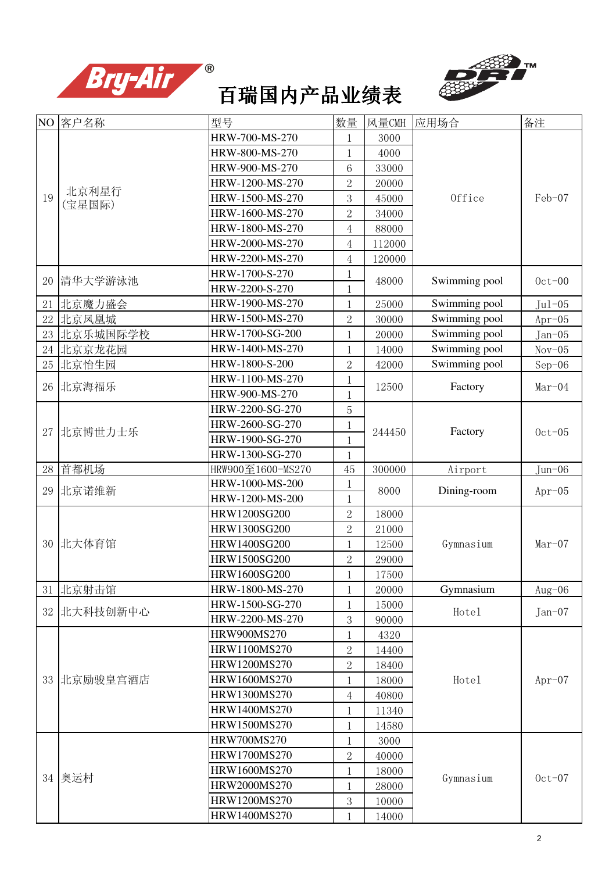





|    | NO 客户名称         | 型号                                     | 数量             | 风量CMH          | 应用场合               | 备注       |
|----|-----------------|----------------------------------------|----------------|----------------|--------------------|----------|
|    |                 | HRW-700-MS-270                         | 1              | 3000           |                    |          |
|    |                 | HRW-800-MS-270                         | 1              | 4000           |                    |          |
|    |                 | HRW-900-MS-270                         | 6              | 33000          |                    |          |
|    |                 | HRW-1200-MS-270                        | $\overline{2}$ | 20000          |                    |          |
| 19 | 北京利星行<br>(宝星国际) | HRW-1500-MS-270                        | 3              | 45000          | Office             | Feb-07   |
|    |                 | HRW-1600-MS-270                        | $\overline{2}$ | 34000          |                    |          |
|    |                 | HRW-1800-MS-270                        | $\overline{4}$ | 88000          |                    |          |
|    |                 | HRW-2000-MS-270                        | $\overline{4}$ | 112000         |                    |          |
|    |                 | HRW-2200-MS-270                        | $\overline{4}$ | 120000         |                    |          |
|    | 20  清华大学游泳池     | HRW-1700-S-270                         | $\mathbf{1}$   | 48000          | Swimming pool      | $0ct-00$ |
|    |                 | HRW-2200-S-270                         | $\mathbf 1$    |                |                    |          |
| 21 | 北京魔力盛会          | HRW-1900-MS-270                        | $\mathbf 1$    | 25000          | Swimming pool      | $Jul-05$ |
| 22 | 北京凤凰城           | HRW-1500-MS-270                        | $\overline{2}$ | 30000          | Swimming pool      | $Apr-05$ |
| 23 | 北京乐城国际学校        | HRW-1700-SG-200                        | 1              | 20000          | Swimming pool      | $Jan-05$ |
| 24 | 北京京龙花园          | HRW-1400-MS-270                        | 1              | 14000          | Swimming pool      | $Nov-05$ |
| 25 | 北京怡生园           | HRW-1800-S-200                         | $\overline{2}$ | 42000          | Swimming pool      | $Sep-06$ |
| 26 | 北京海福乐           | HRW-1100-MS-270                        | 1              | 12500          | Factory            | $Mar-04$ |
|    |                 | HRW-900-MS-270                         | 1              |                |                    |          |
|    |                 | HRW-2200-SG-270                        | 5              |                |                    |          |
|    | 27 北京博世力士乐      | HRW-2600-SG-270                        | $\mathbf 1$    | 244450         | Factory            | $0ct-05$ |
|    |                 | HRW-1900-SG-270                        | 1              |                |                    |          |
|    |                 | HRW-1300-SG-270                        | 1              |                |                    |          |
|    | 28 首都机场         | HRW900至1600-MS270                      | 45             | 300000         | Airport            | Jun-06   |
| 29 | 北京诺维新           | HRW-1000-MS-200                        | $\mathbf 1$    | 8000           | Dining-room        | $Apr-05$ |
|    |                 | HRW-1200-MS-200                        | $\mathbf 1$    |                |                    |          |
|    |                 | HRW1200SG200                           | $\overline{2}$ | 18000          |                    |          |
|    |                 | HRW1300SG200                           | $\overline{2}$ | 21000          |                    |          |
|    | 30 北大体育馆        | HRW1400SG200                           | 1              | 12500          | Gymnasium          | $Mar-07$ |
|    |                 | HRW1500SG200                           | $\overline{2}$ | 29000          |                    |          |
|    |                 | <b>HRW1600SG200</b><br>HRW-1800-MS-270 |                | 17500          | Gymnasium          |          |
| 31 | 北京射击馆           | HRW-1500-SG-270                        | 1              | 20000          |                    | Aug-06   |
| 32 | 北大科技创新中心        | HRW-2200-MS-270                        | 1<br>3         | 15000<br>90000 | Hotel              | $Jan-07$ |
|    |                 | HRW900MS270                            | 1              | 4320           |                    |          |
|    |                 | HRW1100MS270                           | $\overline{2}$ | 14400          |                    |          |
|    |                 | HRW1200MS270                           | $\overline{2}$ | 18400          |                    |          |
|    | 33 北京励骏皇宫酒店     | HRW1600MS270                           | 1              | 18000          |                    | $Apr-07$ |
|    |                 | HRW1300MS270                           | $\overline{4}$ | 40800          |                    |          |
|    |                 | HRW1400MS270                           | 1              | 11340          |                    |          |
|    |                 | HRW1500MS270                           | 1              | 14580          |                    |          |
|    |                 | HRW700MS270                            | 1              | 3000           |                    |          |
|    |                 | HRW1700MS270                           | $\overline{2}$ | 40000          |                    |          |
|    |                 | HRW1600MS270                           | 1              | 18000          |                    |          |
|    | 34 奥运村          | HRW2000MS270                           | 1              | 28000          |                    | $0ct-07$ |
|    |                 | HRW1200MS270                           | 3              | 10000          |                    |          |
|    |                 | HRW1400MS270                           | 1              | 14000          | Hotel<br>Gymnasium |          |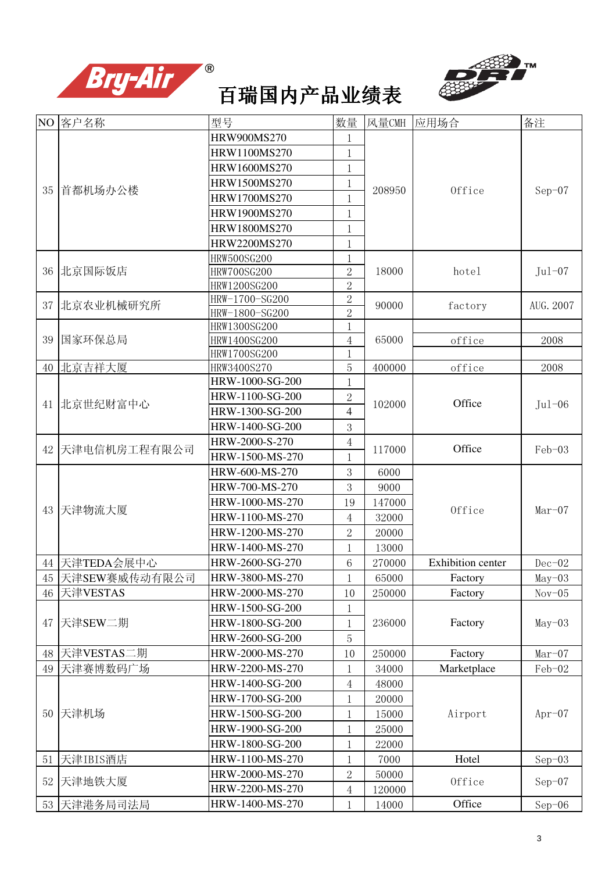



|    | NO 客户名称          | 型号                          | 数量             | 风量CMH  | 应用场合                     | 备注        |
|----|------------------|-----------------------------|----------------|--------|--------------------------|-----------|
|    |                  | HRW900MS270                 |                |        |                          |           |
|    |                  | HRW1100MS270                | 1              |        |                          |           |
|    |                  | HRW1600MS270                | $\mathbf 1$    |        |                          |           |
|    |                  | HRW1500MS270                | 1              |        |                          |           |
| 35 | 首都机场办公楼          | HRW1700MS270                | 1              | 208950 | Office                   | $Sep-07$  |
|    |                  | HRW1900MS270                | 1              |        |                          |           |
|    |                  | HRW1800MS270                | 1              |        |                          |           |
|    |                  | HRW2200MS270                |                |        |                          |           |
|    |                  | <b>HRW500SG200</b>          |                |        |                          |           |
| 36 | 北京国际饭店           | <b>HRW700SG200</b>          | $\overline{2}$ | 18000  | hotel                    | $Jul-07$  |
|    |                  | HRW1200SG200                | $\overline{2}$ |        |                          |           |
| 37 | 北京农业机械研究所        | HRW-1700-SG200              | $\overline{2}$ | 90000  | factory                  | AUG. 2007 |
|    |                  | HRW-1800-SG200              | $\overline{2}$ |        |                          |           |
|    |                  | HRW1300SG200                | 1              |        |                          |           |
| 39 | 国家环保总局           | HRW1400SG200                | $\overline{4}$ | 65000  | office                   | 2008      |
|    |                  | HRW1700SG200<br>HRW3400S270 | 1              |        | office                   |           |
|    | 40 北京吉祥大厦        | HRW-1000-SG-200             | 5              | 400000 |                          | 2008      |
|    |                  | HRW-1100-SG-200             | $\overline{2}$ |        |                          | $Jul-06$  |
|    | 41 北京世纪财富中心      | HRW-1300-SG-200             | 4              | 102000 | Office                   |           |
|    |                  | HRW-1400-SG-200             |                |        |                          |           |
|    |                  | HRW-2000-S-270              | 3              |        |                          |           |
| 42 | 天津电信机房工程有限公司     | HRW-1500-MS-270             | 4              | 117000 | Office                   | Feb-03    |
|    |                  | HRW-600-MS-270              | 3              | 6000   |                          |           |
|    |                  | HRW-700-MS-270              | 3              | 9000   |                          |           |
|    |                  | HRW-1000-MS-270             | 19             | 147000 |                          |           |
| 43 | 天津物流大厦           | HRW-1100-MS-270             | 4              | 32000  | Office                   | $Mar-07$  |
|    |                  | HRW-1200-MS-270             | 2              | 20000  |                          |           |
|    |                  | HRW-1400-MS-270             |                | 13000  |                          |           |
|    | 44 天津TEDA会展中心    | HRW-2600-SG-270             | 6              | 270000 | <b>Exhibition</b> center | $Dec-02$  |
|    | 45 天津SEW赛威传动有限公司 | HRW-3800-MS-270             | $\mathbf{1}$   | 65000  | Factory                  | $May-03$  |
| 46 | 天津VESTAS         | HRW-2000-MS-270             | 10             | 250000 | Factory                  | $Nov-05$  |
|    |                  | HRW-1500-SG-200             | 1              |        |                          |           |
| 47 | 天津SEW二期          | HRW-1800-SG-200             |                | 236000 | Factory                  | $May-03$  |
|    |                  | HRW-2600-SG-200             | 5              |        |                          |           |
| 48 | 天津VESTAS二期       | HRW-2000-MS-270             | 10             | 250000 | Factory                  | $Mar-07$  |
| 49 | 天津赛博数码广场         | HRW-2200-MS-270             | 1              | 34000  | Marketplace              | Feb-02    |
|    |                  | HRW-1400-SG-200             | 4              | 48000  |                          |           |
|    |                  | HRW-1700-SG-200             |                | 20000  |                          |           |
|    |                  | HRW-1500-SG-200             | 1              |        |                          |           |
|    | 50 天津机场          | HRW-1900-SG-200             | 1              | 15000  | Airport                  | $Apr-07$  |
|    |                  | HRW-1800-SG-200             | 1              | 25000  |                          |           |
|    |                  |                             | 1              | 22000  |                          |           |
| 51 | 天津IBIS酒店         | HRW-1100-MS-270             |                | 7000   | Hotel                    | $Sep-03$  |
| 52 | 天津地铁大厦           | HRW-2000-MS-270             | 2              | 50000  | Office                   | $Sep-07$  |
|    |                  | HRW-2200-MS-270             | 4              | 120000 |                          |           |
|    | 53 天津港务局司法局      | HRW-1400-MS-270             | 1              | 14000  | Office                   | $Sep-06$  |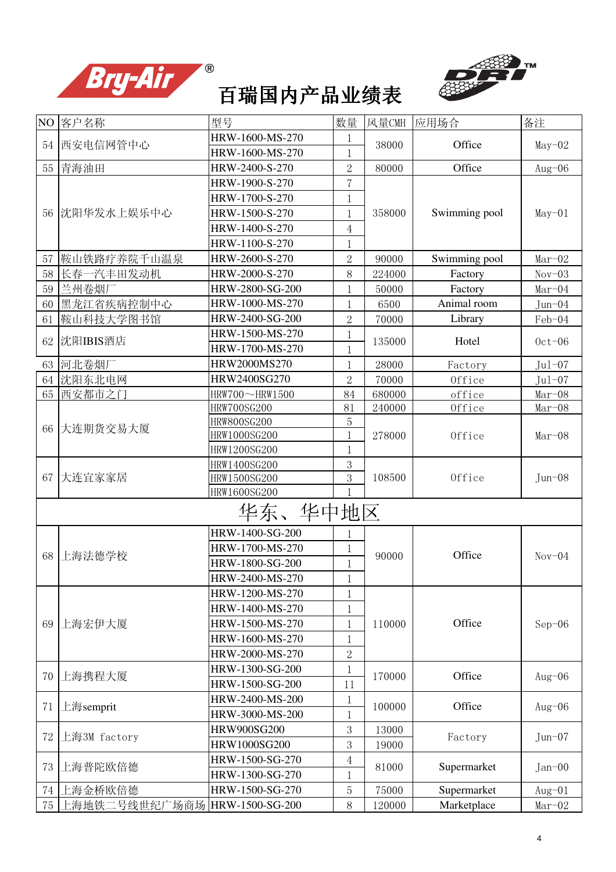



| NO <sub>1</sub> | 客户名称                           | 型号                 | 数量             | 风量CMH  | 应用场合          | 备注                                                                                 |
|-----------------|--------------------------------|--------------------|----------------|--------|---------------|------------------------------------------------------------------------------------|
| 54              | 西安电信网管中心                       | HRW-1600-MS-270    | 1              | 38000  | Office        | $May-02$                                                                           |
|                 |                                | HRW-1600-MS-270    | 1              |        |               |                                                                                    |
|                 | 55 青海油田                        | HRW-2400-S-270     | $\overline{2}$ | 80000  | Office        | Aug-06                                                                             |
|                 |                                | HRW-1900-S-270     | 7              |        |               |                                                                                    |
|                 |                                | HRW-1700-S-270     | $\mathbf 1$    |        |               |                                                                                    |
|                 | 56 沈阳华发水上娱乐中心                  | HRW-1500-S-270     | 1              | 358000 | Swimming pool | $May-01$                                                                           |
|                 |                                | HRW-1400-S-270     | 4              |        |               |                                                                                    |
|                 |                                | HRW-1100-S-270     | 1              |        |               |                                                                                    |
| 57              | 鞍山铁路疗养院千山温泉                    | HRW-2600-S-270     | $\overline{2}$ | 90000  | Swimming pool | $Mar-02$                                                                           |
| 58              | 长春一汽丰田发动机                      | HRW-2000-S-270     | 8              | 224000 | Factory       | $Nov-03$                                                                           |
| 59              | 兰州卷烟厂                          | HRW-2800-SG-200    | 1              | 50000  | Factory       | $Mar-04$                                                                           |
| 60              | 黑龙江省疾病控制中心                     | HRW-1000-MS-270    | 1              | 6500   | Animal room   | $Jun-04$                                                                           |
| 61              | 鞍山科技大学图书馆                      | HRW-2400-SG-200    | $\overline{2}$ | 70000  | Library       | Feb-04                                                                             |
|                 |                                | HRW-1500-MS-270    | 1              |        |               |                                                                                    |
|                 | 62 沈阳IBIS酒店                    | HRW-1700-MS-270    | 1              | 135000 | Hotel         |                                                                                    |
|                 | 63 河北卷烟厂                       | HRW2000MS270       | 1              | 28000  | Factory       |                                                                                    |
|                 | 64 沈阳东北电网                      | HRW2400SG270       | $\overline{2}$ | 70000  | Office        |                                                                                    |
|                 | 65 西安都市之门                      | HRW700~HRW1500     | 84             | 680000 | office        | $Mar-08$                                                                           |
|                 |                                | <b>HRW700SG200</b> | 81             | 240000 | Office        | $Mar-08$                                                                           |
| 66              | 大连期货交易大厦                       | HRW800SG200        | 5              |        |               | $0ct-06$<br>$Jul-07$<br>$Jul-07$<br>$Mar-08$<br>$Jun - 08$<br>$Nov-04$<br>$Sep-06$ |
|                 |                                | HRW1000SG200       | 1              | 278000 | Office        |                                                                                    |
|                 |                                | HRW1200SG200       | 1              |        |               |                                                                                    |
|                 |                                | HRW1400SG200       | 3              |        |               |                                                                                    |
| 67              | 大连宜家家居                         | HRW1500SG200       | 3              | 108500 | Office        |                                                                                    |
|                 |                                | HRW1600SG200       |                |        |               |                                                                                    |
|                 |                                | 华东、华中地区            |                |        |               |                                                                                    |
|                 |                                | HRW-1400-SG-200    | 1              |        |               |                                                                                    |
|                 |                                | HRW-1700-MS-270    | 1              | 90000  | Office        |                                                                                    |
| 68              | 上海法德学校                         | HRW-1800-SG-200    | $\mathbf 1$    |        |               |                                                                                    |
|                 |                                | HRW-2400-MS-270    |                |        |               |                                                                                    |
|                 |                                | HRW-1200-MS-270    | 1              |        |               |                                                                                    |
|                 |                                | HRW-1400-MS-270    | 1              |        |               |                                                                                    |
| 69              | 上海宏伊大厦                         | HRW-1500-MS-270    | 1              | 110000 | Office        |                                                                                    |
|                 |                                | HRW-1600-MS-270    | 1              |        |               |                                                                                    |
|                 |                                | HRW-2000-MS-270    | $\overline{2}$ |        |               |                                                                                    |
|                 |                                | HRW-1300-SG-200    | 1              |        |               |                                                                                    |
| 70              | 上海携程大厦                         | HRW-1500-SG-200    | 11             | 170000 | Office        | $Aug-06$                                                                           |
|                 |                                | HRW-2400-MS-200    | 1              |        |               |                                                                                    |
| 71              | 上海semprit                      | HRW-3000-MS-200    | $\mathbf 1$    | 100000 | Office        | $Aug-06$                                                                           |
|                 |                                | HRW900SG200        | 3              | 13000  |               |                                                                                    |
| 72              | 上海3M factory                   | HRW1000SG200       | 3              | 19000  | Factory       | $Jun-07$                                                                           |
|                 |                                | HRW-1500-SG-270    | 4              |        |               |                                                                                    |
| 73              | 上海普陀欧倍德                        | HRW-1300-SG-270    | 1              | 81000  | Supermarket   | $Jan-00$                                                                           |
| 74              | 上海金桥欧倍德                        | HRW-1500-SG-270    | 5              | 75000  | Supermarket   | $Aug-01$                                                                           |
| 75              | 上海地铁二号线世纪广场商场  HRW-1500-SG-200 |                    | 8              | 120000 | Marketplace   | $Mar-02$                                                                           |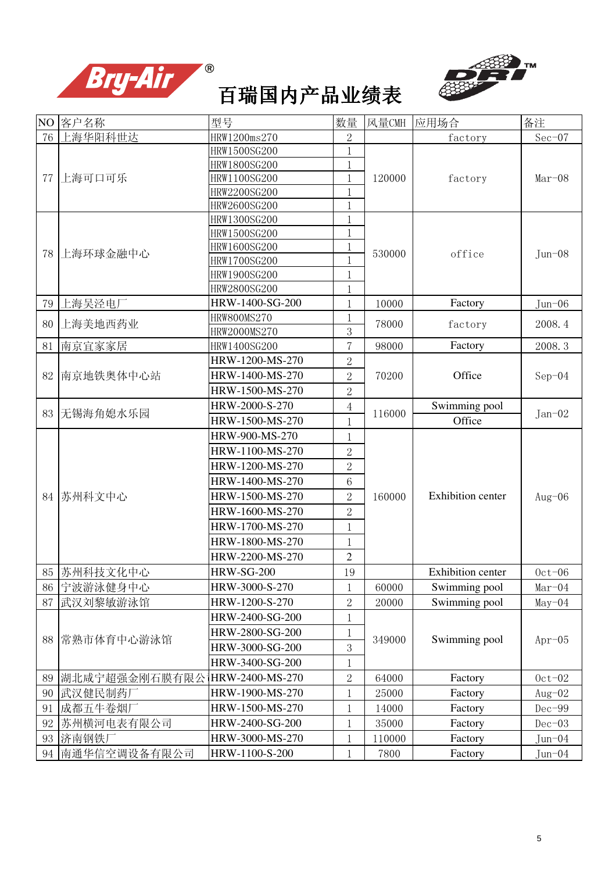



|    | NO 客户名称         | 型号                | 数量             | 风量CMH  | 应用场合                     | 备注         |
|----|-----------------|-------------------|----------------|--------|--------------------------|------------|
| 76 | 上海华阳科世达         | HRW1200ms270      | $\overline{2}$ |        | factory                  | $Sec-07$   |
|    |                 | HRW1500SG200      | 1              |        |                          |            |
|    |                 | HRW1800SG200      |                |        |                          |            |
| 77 | 上海可口可乐          | HRW1100SG200      | 1              | 120000 | factory                  | $Mar-08$   |
|    |                 | HRW2200SG200      | 1              |        |                          |            |
|    |                 | HRW2600SG200      | $\mathbf{1}$   |        |                          |            |
|    |                 | HRW1300SG200      | 1              |        |                          |            |
|    |                 | HRW1500SG200      | 1              |        |                          |            |
| 78 | 上海环球金融中心        | HRW1600SG200      | 1              | 530000 | office                   | $Jun - 08$ |
|    |                 | HRW1700SG200      |                |        |                          |            |
|    |                 | HRW1900SG200      | 1              |        |                          |            |
|    |                 | HRW2800SG200      | 1              |        |                          |            |
| 79 | 上海吴泾电厂          | HRW-1400-SG-200   | 1              | 10000  | Factory                  | $Jun - 06$ |
| 80 | 上海美地西药业         | HRW800MS270       |                | 78000  | factory                  | 2008.4     |
|    |                 | HRW2000MS270      | 3              |        |                          |            |
| 81 | 南京宜家家居          | HRW1400SG200      | $\overline{7}$ | 98000  | Factory                  | 2008.3     |
|    |                 | HRW-1200-MS-270   | $\overline{2}$ |        |                          |            |
| 82 | 南京地铁奥体中心站       | HRW-1400-MS-270   | $\overline{2}$ | 70200  | Office                   | $Sep-04$   |
|    |                 | HRW-1500-MS-270   | $\overline{2}$ |        |                          |            |
|    | 83 无锡海角媳水乐园     | HRW-2000-S-270    | $\overline{4}$ | 116000 | Swimming pool            | $Jan-02$   |
|    |                 | HRW-1500-MS-270   | $\mathbf{1}$   |        | Office                   |            |
|    | 苏州科文中心          | HRW-900-MS-270    | 1              |        |                          |            |
|    |                 | HRW-1100-MS-270   | $\overline{2}$ |        |                          |            |
|    |                 | HRW-1200-MS-270   | $\overline{2}$ |        |                          |            |
|    |                 | HRW-1400-MS-270   | 6              |        |                          |            |
| 84 |                 | HRW-1500-MS-270   | $\overline{2}$ | 160000 | <b>Exhibition</b> center | $Aug-06$   |
|    |                 | HRW-1600-MS-270   | $\overline{2}$ |        |                          |            |
|    |                 | HRW-1700-MS-270   | 1              |        |                          |            |
|    |                 | HRW-1800-MS-270   | 1              |        |                          |            |
|    |                 | HRW-2200-MS-270   | $\overline{2}$ |        |                          |            |
|    | 85 苏州科技文化中心     | <b>HRW-SG-200</b> | 19             |        | <b>Exhibition</b> center | $0ct-06$   |
| 86 | 宁波游泳健身中心        | HRW-3000-S-270    | 1              | 60000  | Swimming pool            | $Mar-04$   |
| 87 | 武汉刘黎敏游泳馆        | HRW-1200-S-270    | $\overline{2}$ | 20000  | Swimming pool            | $May-04$   |
|    |                 | HRW-2400-SG-200   |                |        |                          |            |
|    |                 | HRW-2800-SG-200   |                |        |                          |            |
| 88 | 常熟市体育中心游泳馆      | HRW-3000-SG-200   | 3              | 349000 | Swimming pool            | $Apr-05$   |
|    |                 | HRW-3400-SG-200   | 1              |        |                          |            |
| 89 | 湖北咸宁超强金刚石膜有限公   | HRW-2400-MS-270   | $\overline{2}$ | 64000  | Factory                  | $0ct-02$   |
| 90 | 武汉健民制药厂         | HRW-1900-MS-270   | 1              | 25000  | Factory                  | $Aug-02$   |
| 91 | 成都五牛卷烟厂         | HRW-1500-MS-270   | 1              | 14000  | Factory                  | $Dec-99$   |
| 92 | 苏州横河电表有限公司      | HRW-2400-SG-200   | 1              | 35000  | Factory                  | $Dec-03$   |
|    |                 | HRW-3000-MS-270   |                |        |                          |            |
| 93 | 济南钢铁厂           |                   | 1              | 110000 | Factory                  | $Jun-04$   |
|    | 94 南通华信空调设备有限公司 | HRW-1100-S-200    | 1              | 7800   | Factory                  | Jun-04     |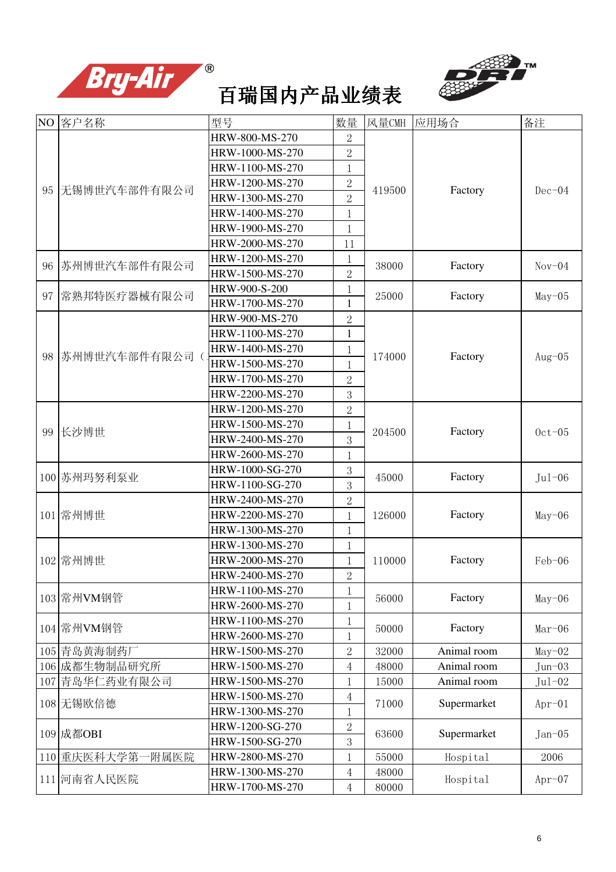



|    | NO 客户名称              | 型号              | 数量                        | 风量CMH  | 应用场合                                                                                                                                                                         | 备注                                                                                                                                                                                                    |
|----|----------------------|-----------------|---------------------------|--------|------------------------------------------------------------------------------------------------------------------------------------------------------------------------------|-------------------------------------------------------------------------------------------------------------------------------------------------------------------------------------------------------|
|    |                      | HRW-800-MS-270  | 2                         |        |                                                                                                                                                                              |                                                                                                                                                                                                       |
|    |                      | HRW-1000-MS-270 | $\overline{2}$            |        |                                                                                                                                                                              |                                                                                                                                                                                                       |
|    |                      | HRW-1100-MS-270 | 1                         |        |                                                                                                                                                                              |                                                                                                                                                                                                       |
|    |                      | HRW-1200-MS-270 | $\overline{2}$            |        |                                                                                                                                                                              |                                                                                                                                                                                                       |
|    | 95 无锡博世汽车部件有限公司      | HRW-1300-MS-270 | $\overline{2}$            | 419500 |                                                                                                                                                                              |                                                                                                                                                                                                       |
|    |                      | HRW-1400-MS-270 | 1                         |        |                                                                                                                                                                              |                                                                                                                                                                                                       |
|    |                      | HRW-1900-MS-270 | 1                         |        |                                                                                                                                                                              |                                                                                                                                                                                                       |
|    |                      | HRW-2000-MS-270 | 11                        |        |                                                                                                                                                                              |                                                                                                                                                                                                       |
|    |                      | HRW-1200-MS-270 | 1                         |        |                                                                                                                                                                              |                                                                                                                                                                                                       |
| 96 | 苏州博世汽车部件有限公司         | HRW-1500-MS-270 | $\overline{2}$            | 38000  |                                                                                                                                                                              |                                                                                                                                                                                                       |
|    |                      | HRW-900-S-200   | 1                         |        |                                                                                                                                                                              |                                                                                                                                                                                                       |
| 97 | 常熟邦特医疗器械有限公司         | HRW-1700-MS-270 | $\mathbf{1}$              | 25000  |                                                                                                                                                                              |                                                                                                                                                                                                       |
|    |                      | HRW-900-MS-270  | $\overline{2}$            |        |                                                                                                                                                                              |                                                                                                                                                                                                       |
|    |                      | HRW-1100-MS-270 | $\mathbf{1}$              |        |                                                                                                                                                                              |                                                                                                                                                                                                       |
|    |                      | HRW-1400-MS-270 | 1                         |        |                                                                                                                                                                              |                                                                                                                                                                                                       |
|    | 98 苏州博世汽车部件有限公司(     | HRW-1500-MS-270 | 1                         | 174000 |                                                                                                                                                                              |                                                                                                                                                                                                       |
|    |                      | HRW-1700-MS-270 | $\overline{2}$            |        |                                                                                                                                                                              |                                                                                                                                                                                                       |
|    |                      | HRW-2200-MS-270 | 3                         |        |                                                                                                                                                                              |                                                                                                                                                                                                       |
|    |                      | HRW-1200-MS-270 | $\overline{2}$            |        |                                                                                                                                                                              | $Dec-04$<br>$Nov-04$<br>$May-05$<br>Aug $-05$<br>$0ct-05$<br>$Jul-06$<br>$May-06$<br>Feb-06<br>$May-06$<br>$Mar-06$<br>$May-02$<br>$Jun - 03$<br>$Jul-02$<br>$Apr-01$<br>$Jan-05$<br>2006<br>$Apr-07$ |
|    | 99 长沙博世              | HRW-1500-MS-270 | 1                         |        | Factory                                                                                                                                                                      |                                                                                                                                                                                                       |
|    |                      | HRW-2400-MS-270 | 3                         | 204500 |                                                                                                                                                                              |                                                                                                                                                                                                       |
|    |                      | HRW-2600-MS-270 | 1                         |        |                                                                                                                                                                              |                                                                                                                                                                                                       |
|    |                      | HRW-1000-SG-270 | $\boldsymbol{\mathrm{3}}$ | 45000  |                                                                                                                                                                              |                                                                                                                                                                                                       |
|    | 100 苏州玛努利泵业          | HRW-1100-SG-270 | 3                         |        |                                                                                                                                                                              |                                                                                                                                                                                                       |
|    |                      | HRW-2400-MS-270 | $\overline{2}$            |        |                                                                                                                                                                              |                                                                                                                                                                                                       |
|    | 101 常州博世             | HRW-2200-MS-270 | 1                         | 126000 | Factory                                                                                                                                                                      |                                                                                                                                                                                                       |
|    |                      | HRW-1300-MS-270 | 1                         |        |                                                                                                                                                                              |                                                                                                                                                                                                       |
|    |                      | HRW-1300-MS-270 | 1                         |        |                                                                                                                                                                              |                                                                                                                                                                                                       |
|    | 102 常州博世             | HRW-2000-MS-270 | 1                         | 110000 | Factory                                                                                                                                                                      |                                                                                                                                                                                                       |
|    |                      | HRW-2400-MS-270 | $\overline{2}$            |        | Factory<br>Factory<br>Factory<br>Factory<br>Factory<br>Factory<br>Factory<br>Animal room<br>Animal room<br>Animal room<br>Supermarket<br>Supermarket<br>Hospital<br>Hospital |                                                                                                                                                                                                       |
|    | 103 常州VM钢管           | HRW-1100-MS-270 | 1                         | 56000  |                                                                                                                                                                              |                                                                                                                                                                                                       |
|    |                      | HRW-2600-MS-270 | 1                         |        |                                                                                                                                                                              |                                                                                                                                                                                                       |
|    | 104 常州VM钢管           | HRW-1100-MS-270 | 1                         | 50000  |                                                                                                                                                                              |                                                                                                                                                                                                       |
|    |                      | HRW-2600-MS-270 |                           |        |                                                                                                                                                                              |                                                                                                                                                                                                       |
|    | 105 青岛黄海制药厂          | HRW-1500-MS-270 | $\overline{2}$            | 32000  |                                                                                                                                                                              |                                                                                                                                                                                                       |
|    | 106 成都生物制品研究所        | HRW-1500-MS-270 | 4                         | 48000  |                                                                                                                                                                              |                                                                                                                                                                                                       |
|    | 107 青岛华仁药业有限公司       | HRW-1500-MS-270 | 1                         | 15000  |                                                                                                                                                                              |                                                                                                                                                                                                       |
|    | 108 无锡欧倍德            | HRW-1500-MS-270 | $\overline{4}$            | 71000  |                                                                                                                                                                              |                                                                                                                                                                                                       |
|    |                      | HRW-1300-MS-270 |                           |        |                                                                                                                                                                              |                                                                                                                                                                                                       |
|    | 109 成都OBI            | HRW-1200-SG-270 | $\overline{2}$            | 63600  |                                                                                                                                                                              |                                                                                                                                                                                                       |
|    |                      | HRW-1500-SG-270 | 3                         |        |                                                                                                                                                                              |                                                                                                                                                                                                       |
|    | 110 重庆医科大学第<br>·附属医院 | HRW-2800-MS-270 | 1                         | 55000  |                                                                                                                                                                              |                                                                                                                                                                                                       |
|    | 111 河南省人民医院          | HRW-1300-MS-270 | 4                         | 48000  |                                                                                                                                                                              |                                                                                                                                                                                                       |
|    |                      | HRW-1700-MS-270 | $\overline{4}$            | 80000  |                                                                                                                                                                              |                                                                                                                                                                                                       |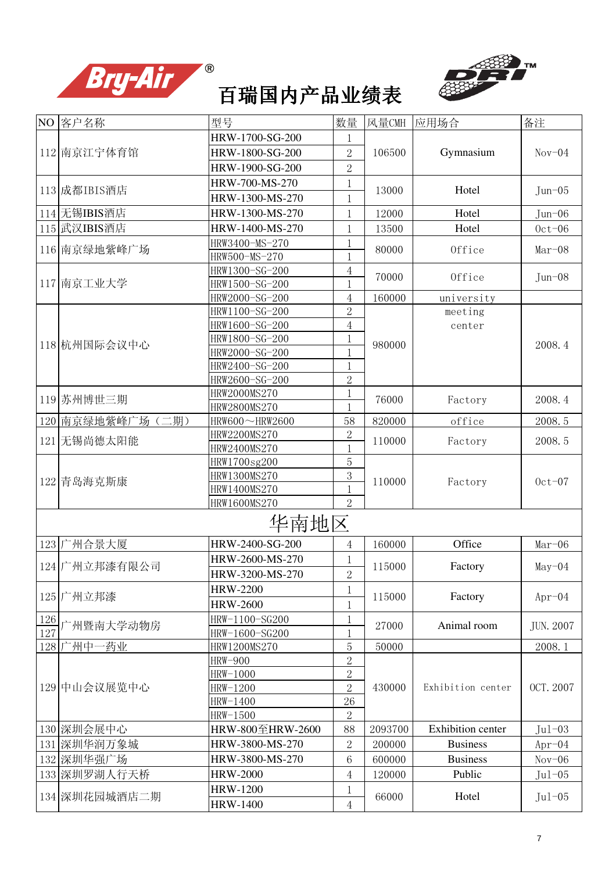



|     | NO 客户名称          | 型号               | 数量             | 风量CMH   | 应用场合              | 备注                                                                                                                                                           |
|-----|------------------|------------------|----------------|---------|-------------------|--------------------------------------------------------------------------------------------------------------------------------------------------------------|
|     |                  | HRW-1700-SG-200  | 1              |         |                   |                                                                                                                                                              |
|     | 112 南京江宁体育馆      | HRW-1800-SG-200  | $\overline{2}$ | 106500  | Gymnasium         | $Nov-04$                                                                                                                                                     |
|     |                  | HRW-1900-SG-200  | $\overline{2}$ |         |                   |                                                                                                                                                              |
|     |                  | HRW-700-MS-270   | 1              |         |                   |                                                                                                                                                              |
|     | 113 成都IBIS酒店     | HRW-1300-MS-270  | 1              | 13000   | Hotel             |                                                                                                                                                              |
|     | 114 无锡IBIS酒店     | HRW-1300-MS-270  | 1              | 12000   | Hotel             |                                                                                                                                                              |
|     | 115 武汉IBIS酒店     | HRW-1400-MS-270  | 1              | 13500   | Hotel             |                                                                                                                                                              |
|     |                  | HRW3400-MS-270   |                |         |                   |                                                                                                                                                              |
|     | 116 南京绿地紫峰广场     | HRW500-MS-270    |                | 80000   | Office            |                                                                                                                                                              |
|     |                  | HRW1300-SG-200   | 4              | 70000   | Office            |                                                                                                                                                              |
|     | 117 南京工业大学       | HRW1500-SG-200   |                |         |                   | $Jun - 06$<br>$0ct-06$<br>$Mar-08$<br>$Jun - 08$<br>2008.4<br>2008.4<br>2008.5<br>2008.5<br>$0ct-07$<br>$Mar-06$<br>$May-04$<br>$Apr-04$<br><b>JUN. 2007</b> |
|     |                  | HRW2000-SG-200   | 4              | 160000  | university        |                                                                                                                                                              |
|     |                  | HRW1100-SG-200   | $\overline{2}$ |         | meeting           |                                                                                                                                                              |
|     |                  | HRW1600-SG-200   | $\overline{4}$ |         | center            |                                                                                                                                                              |
|     | 118 杭州国际会议中心     | HRW1800-SG-200   |                | 980000  |                   |                                                                                                                                                              |
|     |                  | HRW2000-SG-200   |                |         |                   | $Jun - 05$<br>2008.1<br>OCT. 2007                                                                                                                            |
|     |                  | HRW2400-SG-200   | 1              |         |                   |                                                                                                                                                              |
|     |                  | HRW2600-SG-200   | $\overline{2}$ |         |                   |                                                                                                                                                              |
|     | 119 苏州博世三期       | HRW2000MS270     |                | 76000   | Factory           |                                                                                                                                                              |
|     |                  | HRW2800MS270     |                |         |                   |                                                                                                                                                              |
|     | 120 南京绿地紫峰广场(二期) | HRW600~HRW2600   | 58             | 820000  | office            |                                                                                                                                                              |
|     | 121 无锡尚德太阳能      | HRW2200MS270     | $\overline{2}$ | 110000  | Factory           |                                                                                                                                                              |
|     |                  | HRW2400MS270     |                |         |                   |                                                                                                                                                              |
|     |                  | HRW1700sg200     | 5              |         |                   |                                                                                                                                                              |
|     | 122 青岛海克斯康       | HRW1300MS270     | 3              | 110000  | Factory           |                                                                                                                                                              |
|     |                  | HRW1400MS270     |                |         |                   |                                                                                                                                                              |
|     |                  | HRW1600MS270     | $\overline{2}$ |         |                   |                                                                                                                                                              |
|     |                  | 华南地区             |                |         |                   |                                                                                                                                                              |
|     | 123 广州合景大厦       | HRW-2400-SG-200  | 4              | 160000  | Office            |                                                                                                                                                              |
|     |                  | HRW-2600-MS-270  | 1              |         |                   |                                                                                                                                                              |
|     | 124 广州立邦漆有限公司    | HRW-3200-MS-270  | $\overline{2}$ | 115000  | Factory           |                                                                                                                                                              |
|     |                  | <b>HRW-2200</b>  | 1              |         |                   |                                                                                                                                                              |
|     | 125 广州立邦漆        | <b>HRW-2600</b>  | $\mathbf 1$    | 115000  | Factory           |                                                                                                                                                              |
| 126 |                  | HRW-1100-SG200   | 1              |         |                   |                                                                                                                                                              |
| 127 | 广州暨南大学动物房        | HRW-1600-SG200   |                | 27000   | Animal room       |                                                                                                                                                              |
|     | 128 广州中一药业       | HRW1200MS270     | 5              | 50000   |                   |                                                                                                                                                              |
|     |                  | <b>HRW-900</b>   | $\overline{2}$ |         |                   |                                                                                                                                                              |
|     |                  | HRW-1000         | $\overline{2}$ |         |                   |                                                                                                                                                              |
|     | 129 中山会议展览中心     | HRW-1200         | $\overline{2}$ | 430000  | Exhibition center |                                                                                                                                                              |
|     |                  | HRW-1400         | 26             |         |                   |                                                                                                                                                              |
|     |                  | HRW-1500         | $\overline{2}$ |         |                   |                                                                                                                                                              |
|     | 130 深圳会展中心       | HRW-800至HRW-2600 | 88             | 2093700 | Exhibition center | $Jul-03$                                                                                                                                                     |
|     | 131 深圳华润万象城      | HRW-3800-MS-270  | $\overline{2}$ | 200000  | <b>Business</b>   | $Apr-04$                                                                                                                                                     |
|     | 132 深圳华强广场       | HRW-3800-MS-270  | 6              | 600000  | <b>Business</b>   | $Nov-06$                                                                                                                                                     |
|     | 133 深圳罗湖人行天桥     | <b>HRW-2000</b>  | 4              | 120000  | Public            |                                                                                                                                                              |
|     |                  | <b>HRW-1200</b>  |                |         |                   |                                                                                                                                                              |
|     | 134 深圳花园城酒店二期    | <b>HRW-1400</b>  | 4              | 66000   | Hotel             | $Jul-05$                                                                                                                                                     |
|     |                  |                  |                |         |                   | $Jul-05$                                                                                                                                                     |